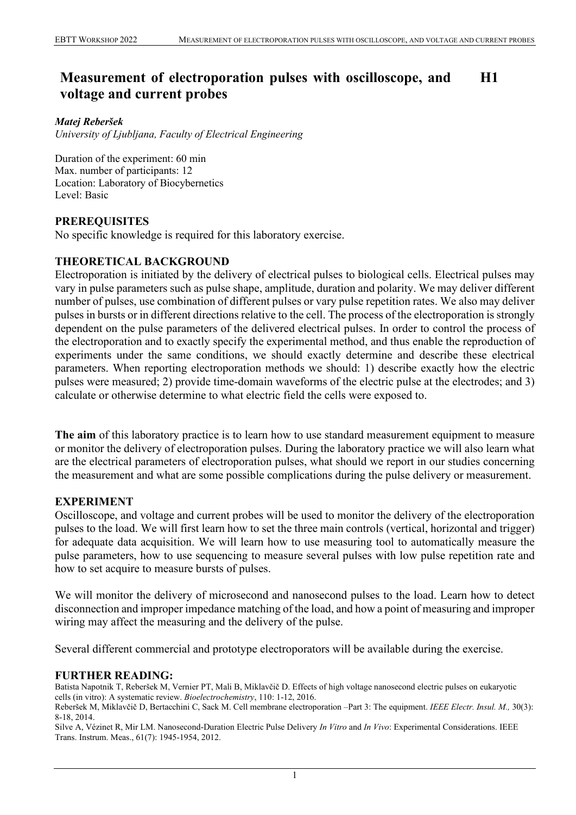#### **Measurement of electroporation pulses with oscilloscope, and voltage and current probes H1**

#### *Matej Reberšek*

*University of Ljubljana, Faculty of Electrical Engineering*

Duration of the experiment: 60 min Max. number of participants: 12 Location: Laboratory of Biocybernetics Level: Basic

# **PREREQUISITES**

No specific knowledge is required for this laboratory exercise.

## **THEORETICAL BACKGROUND**

Electroporation is initiated by the delivery of electrical pulses to biological cells. Electrical pulses may vary in pulse parameters such as pulse shape, amplitude, duration and polarity. We may deliver different number of pulses, use combination of different pulses or vary pulse repetition rates. We also may deliver pulses in bursts or in different directions relative to the cell. The process of the electroporation is strongly dependent on the pulse parameters of the delivered electrical pulses. In order to control the process of the electroporation and to exactly specify the experimental method, and thus enable the reproduction of experiments under the same conditions, we should exactly determine and describe these electrical parameters. When reporting electroporation methods we should: 1) describe exactly how the electric pulses were measured; 2) provide time-domain waveforms of the electric pulse at the electrodes; and 3) calculate or otherwise determine to what electric field the cells were exposed to.

**The aim** of this laboratory practice is to learn how to use standard measurement equipment to measure or monitor the delivery of electroporation pulses. During the laboratory practice we will also learn what are the electrical parameters of electroporation pulses, what should we report in our studies concerning the measurement and what are some possible complications during the pulse delivery or measurement.

### **EXPERIMENT**

Oscilloscope, and voltage and current probes will be used to monitor the delivery of the electroporation pulses to the load. We will first learn how to set the three main controls (vertical, horizontal and trigger) for adequate data acquisition. We will learn how to use measuring tool to automatically measure the pulse parameters, how to use sequencing to measure several pulses with low pulse repetition rate and how to set acquire to measure bursts of pulses.

We will monitor the delivery of microsecond and nanosecond pulses to the load. Learn how to detect disconnection and improper impedance matching of the load, and how a point of measuring and improper wiring may affect the measuring and the delivery of the pulse.

Several different commercial and prototype electroporators will be available during the exercise.

### **FURTHER READING:**

Batista Napotnik T, Reberšek M, Vernier PT, Mali B, Miklavčič D. Effects of high voltage nanosecond electric pulses on eukaryotic cells (in vitro): A systematic review. *Bioelectrochemistry*, 110: 1-12, 2016. Reberšek M, Miklavčič D, Bertacchini C, Sack M. Cell membrane electroporation –Part 3: The equipment. *IEEE Electr. Insul. M.,* 30(3):

8-18, 2014.

Silve A, Vézinet R, Mir LM. Nanosecond-Duration Electric Pulse Delivery *In Vitro* and *In Vivo*: Experimental Considerations. IEEE Trans. Instrum. Meas., 61(7): 1945-1954, 2012.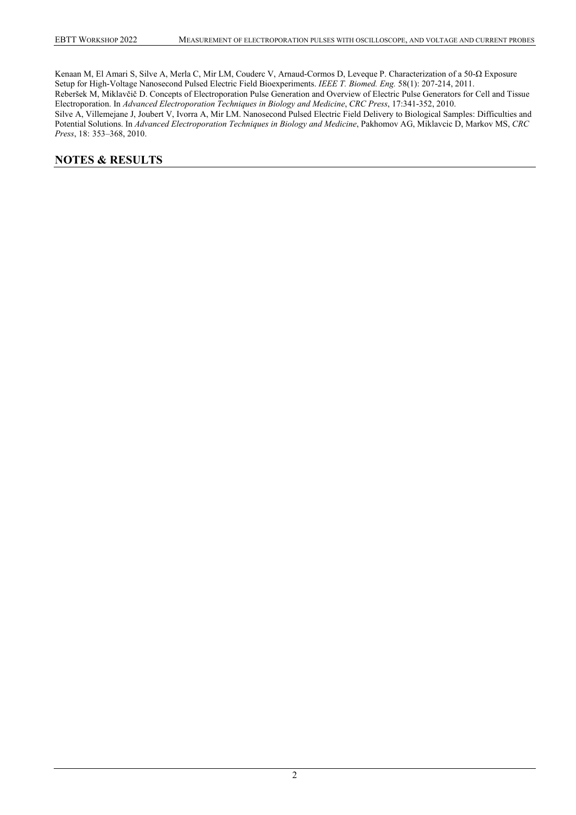Kenaan M, El Amari S, Silve A, Merla C, Mir LM, Couderc V, Arnaud-Cormos D, Leveque P. Characterization of a 50-Ω Exposure Setup for High-Voltage Nanosecond Pulsed Electric Field Bioexperiments. *IEEE T. Biomed. Eng.* 58(1): 207-214, 2011. Reberšek M, Miklavčič D. Concepts of Electroporation Pulse Generation and Overview of Electric Pulse Generators for Cell and Tissue Electroporation. In *Advanced Electroporation Techniques in Biology and Medicine*, *CRC Press*, 17:341-352, 2010. Silve A, Villemejane J, Joubert V, Ivorra A, Mir LM. Nanosecond Pulsed Electric Field Delivery to Biological Samples: Difficulties and Potential Solutions. In *Advanced Electroporation Techniques in Biology and Medicine*, Pakhomov AG, Miklavcic D, Markov MS, *CRC Press*, 18: 353–368, 2010.

#### **NOTES & RESULTS**